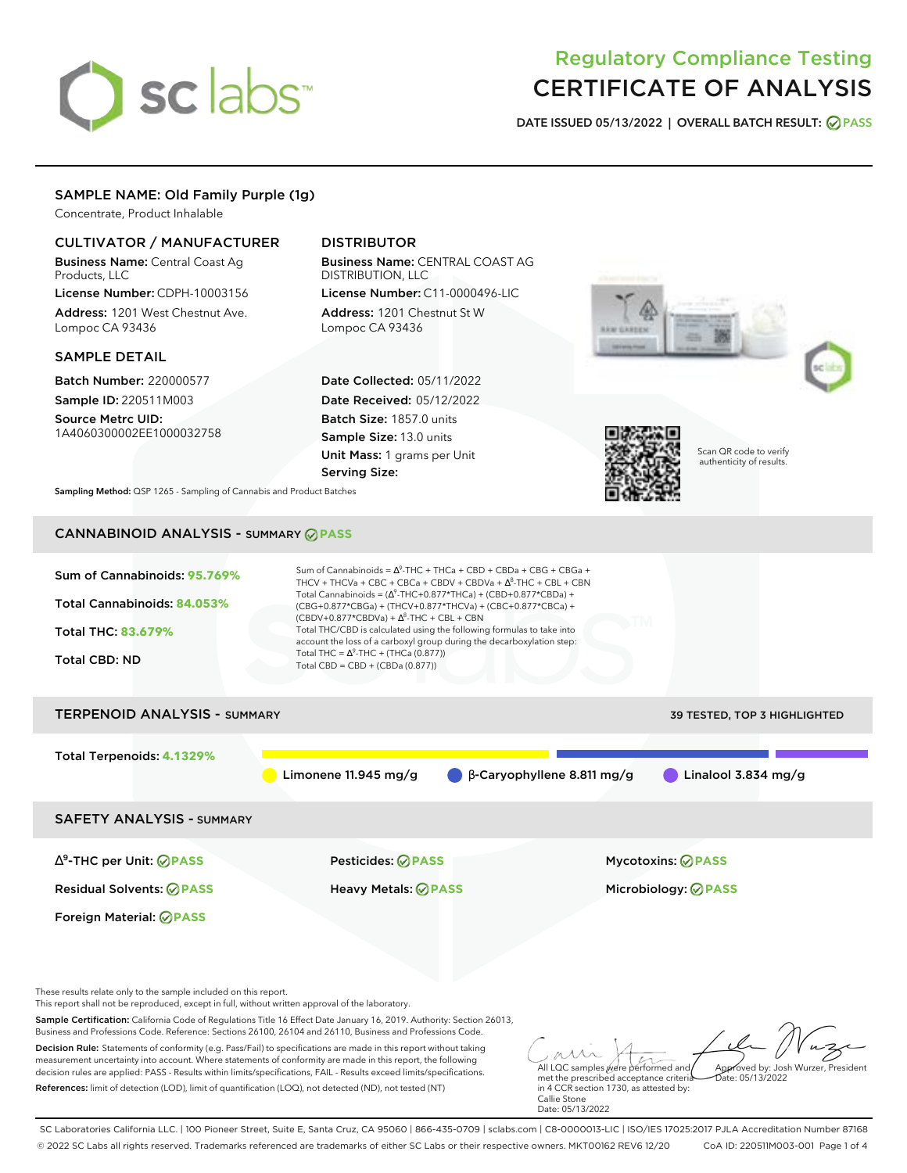# sclabs<sup>\*</sup>

# Regulatory Compliance Testing CERTIFICATE OF ANALYSIS

**DATE ISSUED 05/13/2022 | OVERALL BATCH RESULT: PASS**

# SAMPLE NAME: Old Family Purple (1g)

Concentrate, Product Inhalable

# CULTIVATOR / MANUFACTURER

Business Name: Central Coast Ag Products, LLC

License Number: CDPH-10003156 Address: 1201 West Chestnut Ave. Lompoc CA 93436

# SAMPLE DETAIL

Batch Number: 220000577 Sample ID: 220511M003

Source Metrc UID: 1A4060300002EE1000032758

# DISTRIBUTOR

Business Name: CENTRAL COAST AG DISTRIBUTION, LLC License Number: C11-0000496-LIC

Address: 1201 Chestnut St W Lompoc CA 93436

Date Collected: 05/11/2022 Date Received: 05/12/2022 Batch Size: 1857.0 units Sample Size: 13.0 units Unit Mass: 1 grams per Unit Serving Size:





Scan QR code to verify authenticity of results.

**Sampling Method:** QSP 1265 - Sampling of Cannabis and Product Batches

# CANNABINOID ANALYSIS - SUMMARY **PASS**



This report shall not be reproduced, except in full, without written approval of the laboratory.

Sample Certification: California Code of Regulations Title 16 Effect Date January 16, 2019. Authority: Section 26013, Business and Professions Code. Reference: Sections 26100, 26104 and 26110, Business and Professions Code.

Decision Rule: Statements of conformity (e.g. Pass/Fail) to specifications are made in this report without taking measurement uncertainty into account. Where statements of conformity are made in this report, the following decision rules are applied: PASS - Results within limits/specifications, FAIL - Results exceed limits/specifications. References: limit of detection (LOD), limit of quantification (LOQ), not detected (ND), not tested (NT)

All LQC samples were performed and met the prescribed acceptance criteria Approved by: Josh Wurzer, President  $ate: 05/13/2022$ 

in 4 CCR section 1730, as attested by: Callie Stone Date: 05/13/2022

SC Laboratories California LLC. | 100 Pioneer Street, Suite E, Santa Cruz, CA 95060 | 866-435-0709 | sclabs.com | C8-0000013-LIC | ISO/IES 17025:2017 PJLA Accreditation Number 87168 © 2022 SC Labs all rights reserved. Trademarks referenced are trademarks of either SC Labs or their respective owners. MKT00162 REV6 12/20 CoA ID: 220511M003-001 Page 1 of 4